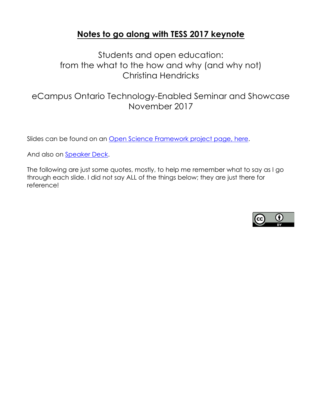## **Notes to go along with TESS 2017 keynote**

Students and open education: from the what to the how and why (and why not) Christina Hendricks

eCampus Ontario Technology-Enabled Seminar and Showcase November 2017

Slides can be found on an Open Science Framework project page, here.

And also on Speaker Deck.

The following are just some quotes, mostly, to help me remember what to say as I go through each slide. I did not say ALL of the things below; they are just there for reference!

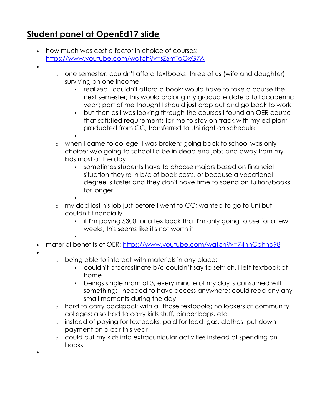# **Student panel at OpenEd17 slide**

- how much was cost a factor in choice of courses: https://www.youtube.com/watch?v=sZ6mTgQxG7A
- •
- o one semester, couldn't afford textbooks; three of us (wife and daughter) surviving on one income
	- § realized I couldn't afford a book; would have to take a course the next semester; this would prolong my graduate date a full academic year'; part of me thought I should just drop out and go back to work
	- but then as I was looking through the courses I found an OER course that satisfied requirements for me to stay on track with my ed plan; graduated from CC, transferred to Uni right on schedule
	- §
- o when I came to college, I was broken; going back to school was only choice; w/o going to school I'd be in dead end jobs and away from my kids most of the day
	- sometimes students have to choose majors based on financial situation they're in b/c of book costs, or because a vocational degree is faster and they don't have time to spend on tuition/books for longer
	- §

§

- o my dad lost his job just before I went to CC; wanted to go to Uni but couldn't financially
	- if I'm paying \$300 for a textbook that I'm only going to use for a few weeks, this seems like it's not worth it
- material benefits of OER: https://www.youtube.com/watch?v=74hnCbhho98
- •

•

- o being able to interact with materials in any place:
	- § couldn't procrastinate b/c couldn't say to self; oh, I left textbook at home
	- beings single mom of 3, every minute of my day is consumed with something; I needed to have access anywhere; could read any any small moments during the day
- o hard to carry backpack with all those textbooks; no lockers at community colleges; also had to carry kids stuff, diaper bags, etc.
- o instead of paying for textbooks, paid for food, gas, clothes, put down payment on a car this year
- o could put my kids into extracurricular activities instead of spending on books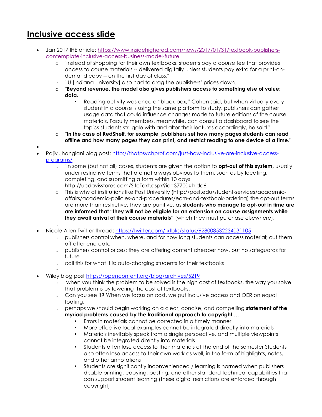## **Inclusive access slide**

- Jan 2017 IHE article: https://www.insidehighered.com/news/2017/01/31/textbook-publisherscontemplate-inclusive-access-business-model-future
	- o "Instead of shopping for their own textbooks, students pay a course fee that provides access to course materials -- delivered digitally unless students pay extra for a print-ondemand copy -- on the first day of class."
	- o "IU [Indiana University] also had to drag the publishers' prices down.
	- o **"Beyond revenue, the model also gives publishers access to something else of value: data.**
		- § Reading activity was once a "black box," Cohen said, but when virtually every student in a course is using the same platform to study, publishers can gather usage data that could influence changes made to future editions of the course materials. Faculty members, meanwhile, can consult a dashboard to see the topics students struggle with and alter their lectures accordingly, he said."
	- o **"In the case of RedShelf, for example, publishers set how many pages students can read offline and how many pages they can print, and restrict reading to one device at a time."**
- •
- Rajiv Jhangiani blog post: http://thatpsychprof.com/just-how-inclusive-are-inclusive-accessprograms/
	- o "In some (but not all) cases, students are given the option to **opt-out of this system,** usually under restrictive terms that are not always obvious to them, such as by locating, completing, and submitting a form within 10 days." http://ucdavisstores.com/SiteText.aspx?id=37700#hide6
	- o This is why at institutions like Post University (http://post.edu/student-services/academicaffairs/academic-policies-and-procedures/ecm-and-textbook-ordering) the opt-out terms are more than restrictive; they are punitive, as **students who manage to opt-out in time are are informed that "they will not be eligible for an extension on course assignments while they await arrival of their course materials**" (which they must purchase elsewhere).
	- o
- Nicole Allen Twitter thread: https://twitter.com/txtbks/status/928008532234031105
	- publishers control when, where, and for how long students can access material; cut them off after end date
	- o publishers control prices; they are offering content cheaper now, but no safeguards for future
	- o call this for what it is: auto-charging students for their textbooks
	- o
	- Wiley blog post https://opencontent.org/blog/archives/5219
		- o when you think the problem to be solved is the high cost of textbooks, the way you solve that problem is by lowering the cost of textbooks.
		- o Can you see it? When we focus on cost, we put inclusive access and OER on equal footing.
		- o perhaps we should begin working on a clear, concise, and compelling **statement of the myriad problems caused by the traditional approach to copyright** …
			- Errors in materials cannot be corrected in a timely manner
			- More effective local examples cannot be integrated directly into materials
			- § Materials inevitably speak from a single perspective, and multiple viewpoints cannot be integrated directly into materials
			- § Students often lose access to their materials at the end of the semester Students also often lose access to their own work as well, in the form of highlights, notes, and other annotations
			- § Students are significantly inconvenienced / learning is harmed when publishers disable printing, copying, pasting, and other standard technical capabilities that can support student learning (these digital restrictions are enforced through copyright)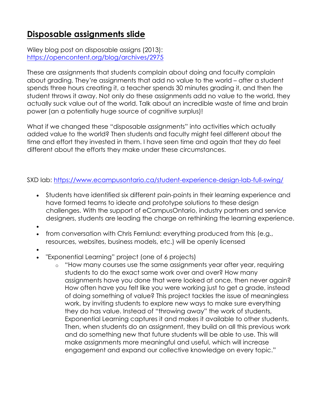## **Disposable assignments slide**

Wiley blog post on disposable assigns (2013): https://opencontent.org/blog/archives/2975

These are assignments that students complain about doing and faculty complain about grading. They're assignments that add no value to the world – after a student spends three hours creating it, a teacher spends 30 minutes grading it, and then the student throws it away. Not only do these assignments add no value to the world, they actually suck value out of the world. Talk about an incredible waste of time and brain power (an a potentially huge source of cognitive surplus)!

What if we changed these "disposable assignments" into activities which actually added value to the world? Then students and faculty might feel different about the time and effort they invested in them. I have seen time and again that they *do* feel different about the efforts they make under these circumstances.

SXD lab: https://www.ecampusontario.ca/student-experience-design-lab-full-swing/

- Students have identified six different pain-points in their learning experience and have formed teams to ideate and prototype solutions to these design challenges. With the support of eCampusOntario, industry partners and service designers, students are leading the charge on rethinking the learning experience.
- •
- from conversation with Chris Fernlund: everything produced from this (e.g., resources, websites, business models, etc.) will be openly licensed
- •
- "Exponential Learning" project (one of 6 projects)
	- o "How many courses use the same assignments year after year, requiring students to do the exact same work over and over? How many assignments have you done that were looked at once, then never again? How often have you felt like you were working just to get a grade, instead of doing something of value? This project tackles the issue of meaningless work, by inviting students to explore new ways to make sure everything they do has value. Instead of "throwing away" the work of students, Exponential Learning captures it and makes it available to other students. Then, when students do an assignment, they build on all this previous work and do something new that future students will be able to use. This will make assignments more meaningful and useful, which will increase engagement and expand our collective knowledge on every topic."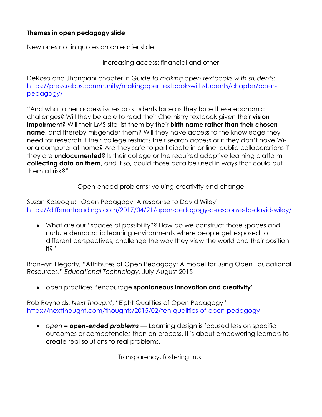## **Themes in open pedagogy slide**

New ones not in quotes on an earlier slide

### Increasing access: financial and other

DeRosa and Jhangiani chapter in *Guide to making open textbooks with students*: https://press.rebus.community/makingopentextbookswithstudents/chapter/openpedagogy/

"And what other access issues do students face as they face these economic challenges? Will they be able to read their Chemistry textbook given their **vision impairment**? Will their LMS site list them by their **birth name rather than their chosen name**, and thereby misgender them? Will they have access to the knowledge they need for research if their college restricts their search access or if they don't have Wi-Fi or a computer at home? Are they safe to participate in online, public collaborations if they are **undocumented**? Is their college or the required adaptive learning platform **collecting data on them**, and if so, could those data be used in ways that could put them at risk?"

## Open-ended problems; valuing creativity and change

Suzan Koseoglu: "Open Pedagogy: A response to David Wiley" https://differentreadings.com/2017/04/21/open-pedagogy-a-response-to-david-wiley/

• What are our "spaces of possibility"? How do we construct those spaces and nurture democratic learning environments where people get exposed to different perspectives, challenge the way they view the world and their position it?"

Bronwyn Hegarty, "Attributes of Open Pedagogy: A model for using Open Educational Resources." *Educational Technology*, July-August 2015

• open practices "encourage **spontaneous innovation and creativity**"

Rob Reynolds, *Next Thought*, "Eight Qualities of Open Pedagogy" https://nextthought.com/thoughts/2015/02/ten-qualities-of-open-pedagogy

• *open = open-ended problems* — Learning design is focused less on specific outcomes or competencies than on process. It is about empowering learners to create real solutions to real problems.

Transparency, fostering trust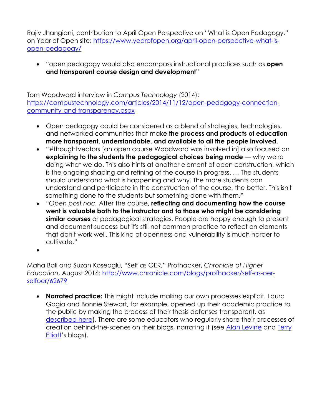Rajiv Jhangiani, contribution to April Open Perspective on "What is Open Pedagogy," on Year of Open site: https://www.yearofopen.org/april-open-perspective-what-isopen-pedagogy/

• "open pedagogy would also encompass instructional practices such as **open and transparent course design and development"**

Tom Woodward interview in *Campus Technology* (2014): https://campustechnology.com/articles/2014/11/12/open-pedagogy-connectioncommunity-and-transparency.aspx

- Open pedagogy could be considered as a blend of strategies, technologies, and networked communities that make **the process and products of education more transparent, understandable, and available to all the people involved.**
- "#thoughtvectors [an open course Woodward was involved in] also focused on **explaining to the students the pedagogical choices being made** — why we're doing what we do. This also hints at another element of open construction, which is the ongoing shaping and refining of the course in progress. … The students should understand what is happening and why. The more students can understand and participate in the construction of the course, the better. This isn't something done to the students but something done with them."
- *"Open post hoc.* After the course, **reflecting and documenting how the course went is valuable both to the instructor and to those who might be considering similar courses** or pedagogical strategies. People are happy enough to present and document success but it's still not common practice to reflect on elements that don't work well. This kind of openness and vulnerability is much harder to cultivate."
- •

Maha Bali and Suzan Koseoglu, "Self as OER," Profhacker, *Chronicle of Higher Education*, August 2016: http://www.chronicle.com/blogs/profhacker/self-as-oerselfoer/62679

• **Narrated practice:** This might include making our own processes explicit. Laura Gogia and Bonnie Stewart, for example, opened up their academic practice to the public by making the process of their thesis defenses transparent, as described here). There are some educators who regularly share their processes of creation behind-the-scenes on their blogs, narrating it (see Alan Levine and Terry Elliott's blogs).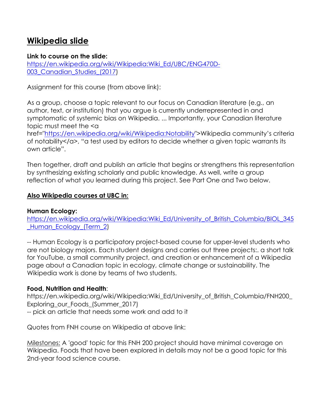## **Wikipedia slide**

### **Link to course on the slide:**

https://en.wikipedia.org/wiki/Wikipedia:Wiki\_Ed/UBC/ENG470D-003\_Canadian\_Studies\_(2017)

Assignment for this course (from above link):

As a group, choose a topic relevant to our focus on Canadian literature (e.g., an author, text, or institution) that you argue is currently underrepresented in and symptomatic of systemic bias on Wikipedia. ... Importantly, your Canadian literature topic must meet the <a

href="https://en.wikipedia.org/wiki/Wikipedia:Notability">Wikipedia community's criteria of notability</a>, "a test used by editors to decide whether a given topic warrants its own article".

Then together, draft and publish an article that begins or strengthens this representation by synthesizing existing scholarly and public knowledge. As well, write a group reflection of what you learned during this project. See Part One and Two below.

## **Also Wikipedia courses at UBC in:**

### **Human Ecology:**

https://en.wikipedia.org/wiki/Wikipedia:Wiki\_Ed/University\_of\_British\_Columbia/BIOL\_345 Human Ecology\_(Term\_2)

-- Human Ecology is a participatory project-based course for upper-level students who are not biology majors. Each student designs and carries out three projects:. a short talk for YouTube, a small community project, and creation or enhancement of a Wikipedia page about a Canadian topic in ecology, climate change or sustainability. The Wikipedia work is done by teams of two students.

### **Food, Nutrition and Health**:

https://en.wikipedia.org/wiki/Wikipedia:Wiki\_Ed/University\_of\_British\_Columbia/FNH200\_ Exploring\_our\_Foods\_(Summer\_2017) -- pick an article that needs some work and add to it

Quotes from FNH course on Wikipedia at above link:

Milestones: A 'good' topic for this FNH 200 project should have minimal coverage on Wikipedia. Foods that have been explored in details may not be a good topic for this 2nd-year food science course.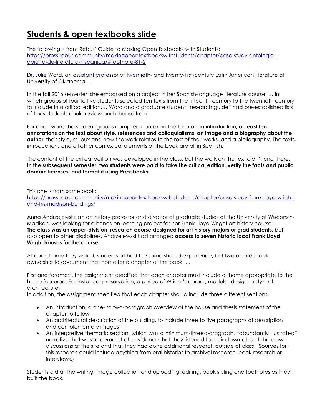## **Students & open textbooks slide**

The following is from Rebus' Guide to Making Open Textbooks with Students: https://press.rebus.community/makingopentextbookswithstudents/chapter/case-study-antologiaabierta-de-literatura-hispanica/#footnote-81-2

Dr. Julie Ward, an assistant professor of twentieth- and twenty-first-century Latin American literature at University of Oklahoma….

In the fall 2016 semester, she embarked on a project in her Spanish-language literature course, … in which groups of four to five students selected ten texts from the fifteenth century to the twentieth century to include in a critical edition.… Ward and a graduate student "research guide" had pre-established lists of texts students could review and choose from.

For each work, the student groups compiled context in the form of an **introduction, at least ten annotations on the text about style, references and colloquialisms, an image and a biography about the author**–their style, milieux and how the work relates to the rest of their works, and a bibliography. The texts, introductions and all other contextual elements of the book are all in Spanish.

The content of the critical edition was developed in the class, but the work on the text didn't end there**. In the subsequent semester, two students were paid to take the critical edition, verify the facts and public domain licenses, and format it using Pressbooks.** 

This one is from same book: https://press.rebus.community/makingopentextbookswithstudents/chapter/case-study-frank-lloyd-wrightand-his-madison-buildings/

Anna Andrzejewski, an art history professor and director of graduate studies at the University of Wisconsin-Madison, was looking for a hands-on learning project for her Frank Lloyd Wright art history course. **The class was an upper-division, research course designed for art history majors or grad students,** but also open to other disciplines. Andrzejewski had arranged **access to seven historic local Frank Lloyd Wright houses for the course.**

At each home they visited, students all had the same shared experience, but two or three took ownership to document that home for a chapter of the book. …

First and foremost, the assignment specified that each chapter must include a theme appropriate to the home featured. For instance: preservation, a period of Wright's career, modular design, a style of architecture.

In addition, the assignment specified that each chapter should include three different sections:

- An introduction, a one- to two-paragraph overview of the house and thesis statement of the chapter to follow
- An architectural description of the building, to include three to five paragraphs of description and complementary images
- An interpretive thematic section, which was a minimum-three-paragraph, "abundantly illustrated" narrative that was to demonstrate evidence that they listened to their classmates at the class discussions at the site and that they had done additional research outside of class. (Sources for this research could include anything from oral histories to archival research, book research or interviews.)

Students did all the writing, image collection and uploading, editing, book styling and footnotes as they built the book.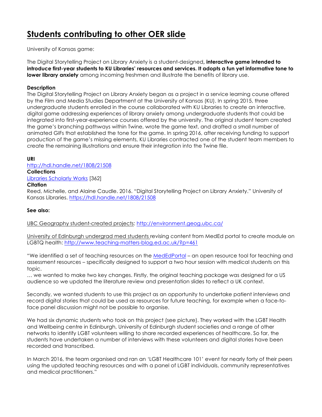## **Students contributing to other OER slide**

University of Kansas game:

The Digital Storytelling Project on Library Anxiety is a student-designed**, interactive game intended to introduce first-year students to KU Libraries' resources and services. It adopts a fun yet informative tone to lower library anxiety** among incoming freshmen and illustrate the benefits of library use.

#### **Description**

The Digital Storytelling Project on Library Anxiety began as a project in a service learning course offered by the Film and Media Studies Department at the University of Kansas (KU). In spring 2015, three undergraduate students enrolled in the course collaborated with KU Libraries to create an interactive, digital game addressing experiences of library anxiety among undergraduate students that could be integrated into first-year-experience courses offered by the university. The original student team created the game's branching pathways within Twine, wrote the game text, and drafted a small number of animated GIFs that established the tone for the game. In spring 2016, after receiving funding to support production of the game's missing elements, KU Libraries contracted one of the student team members to create the remaining illustrations and ensure their integration into the Twine file.

#### **URI**

http://hdl.handle.net/1808/21508

#### **Collections** Libraries Scholarly Works [362]

#### **Citation**

Reed, Michelle, and Alaine Caudle. 2016. "Digital Storytelling Project on Library Anxiety." University of Kansas Libraries. https://hdl.handle.net/1808/21508

#### **See also:**

UBC Geography student-created projects: http://environment.geog.ubc.ca/

University of Edinburgh undergrad med students revising content from MedEd portal to create module on LGBTQ health: http://www.teaching-matters-blog.ed.ac.uk/?p=461

"We identified a set of teaching resources on the MedEdPortal – an open resource tool for teaching and assessment resources – specifically designed to support a two hour session with medical students on this topic.

… we wanted to make two key changes. Firstly, the original teaching package was designed for a US audience so we updated the literature review and presentation slides to reflect a UK context.

Secondly, we wanted students to use this project as an opportunity to undertake patient interviews and record digital stories that could be used as resources for future teaching, for example when a face-toface panel discussion might not be possible to organise.

We had six dynamic students who took on this project (see picture). They worked with the LGBT Health and Wellbeing centre in Edinburgh, University of Edinburgh student societies and a range of other networks to identify LGBT volunteers willing to share recorded experiences of healthcare. So far, the students have undertaken a number of interviews with these volunteers and digital stories have been recorded and transcribed.

In March 2016, the team organised and ran an 'LGBT Healthcare 101' event for nearly forty of their peers using the updated teaching resources and with a panel of LGBT individuals, community representatives and medical practitioners."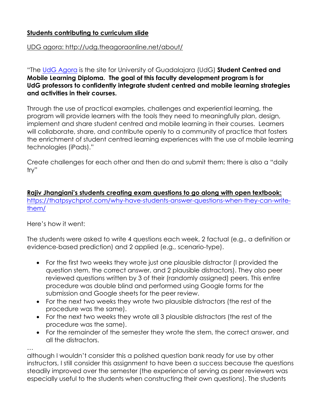## **Students contributing to curriculum slide**

### UDG agora: http://udg.theagoraonline.net/about/

"The UdG Agora is the site for University of Guadalajara (UdG) **Student Centred and Mobile Learning Diploma. The goal of this faculty development program is for UdG professors to confidently integrate student centred and mobile learning strategies and activities in their courses.**

Through the use of practical examples, challenges and experiential learning, the program will provide learners with the tools they need to meaningfully plan, design, implement and share student centred and mobile learning in their courses. Learners will collaborate, share, and contribute openly to a community of practice that fosters the enrichment of student centred learning experiences with the use of mobile learning technologies (iPads)."

Create challenges for each other and then do and submit them; there is also a "daily try"

**Rajiv Jhangiani's students creating exam questions to go along with open textbook:** https://thatpsychprof.com/why-have-students-answer-questions-when-they-can-writethem/

Here's how it went:

The students were asked to write 4 questions each week, 2 factual (e.g., a definition or evidence-based prediction) and 2 applied (e.g., scenario-type).

- For the first two weeks they wrote just one plausible distractor (I provided the question stem, the correct answer, and 2 plausible distractors). They also peer reviewed questions written by 3 of their (randomly assigned) peers. This entire procedure was double blind and performed using Google forms for the submission and Google sheets for the peer review.
- For the next two weeks they wrote two plausible distractors (the rest of the procedure was the same).
- For the next two weeks they wrote all 3 plausible distractors (the rest of the procedure was the same).
- For the remainder of the semester they wrote the stem, the correct answer, and all the distractors.

…

although I wouldn't consider this a polished question bank ready for use by other instructors, I still consider this assignment to have been a success because the questions steadily improved over the semester (the experience of serving as peer reviewers was especially useful to the students when constructing their own questions). The students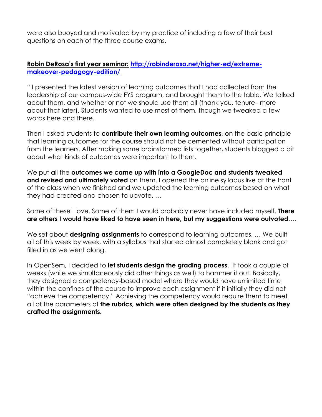were also buoyed and motivated by my practice of including a few of their best questions on each of the three course exams.

### **Robin DeRosa's first year seminar: http://robinderosa.net/higher-ed/extrememakeover-pedagogy-edition/**

" I presented the latest version of learning outcomes that I had collected from the leadership of our campus-wide FYS program, and brought them to the table. We talked about them, and whether or not we should use them all (thank you, tenure– more about that later). Students wanted to use most of them, though we tweaked a few words here and there.

Then I asked students to **contribute their own learning outcomes**, on the basic principle that learning outcomes for the course should not be cemented without participation from the learners. After making some brainstormed lists together, students blogged a bit about what kinds of outcomes were important to them.

We put all the **outcomes we came up with into a GoogleDoc and students tweaked and revised and ultimately voted** on them. I opened the online syllabus live at the front of the class when we finished and we updated the learning outcomes based on what they had created and chosen to upvote. …

Some of these I love. Some of them I would probably never have included myself. **There are others I would have liked to have seen in here, but my suggestions were outvoted**….

We set about **designing assignments** to correspond to learning outcomes. … We built all of this week by week, with a syllabus that started almost completely blank and got filled in as we went along.

In OpenSem, I decided to **let students design the grading process**. It took a couple of weeks (while we simultaneously did other things as well) to hammer it out. Basically, they designed a competency-based model where they would have unlimited time within the confines of the course to improve each assignment if it initially they did not "achieve the competency." Achieving the competency would require them to meet all of the parameters of **the rubrics, which were often designed by the students as they crafted the assignments.**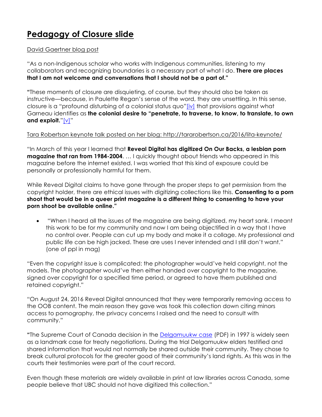# **Pedagogy of Closure slide**

### David Gaertner blog post

"As a non-Indigenous scholar who works with Indigenous communities, listening to my collaborators and recognizing boundaries is a necessary part of what I do. **There are places that I am not welcome and conversations that I should not be a part of."**

**"**These moments of closure are disquieting, of course, but they should also be taken as instructive—because, in Paulette Regan's sense of the word, they are unsettling. In this sense, closure is a "profound disturbing of a colonial status quo"[iv] that provisions against what Garneau identifies as **the colonial desire to "penetrate, to traverse, to know, to translate, to own and exploit.**"[v]"

### Tara Robertson keynote talk posted on her blog: http://tararobertson.ca/2016/lita-keynote/

"In March of this year I learned that **Reveal Digital has digitized On Our Backs, a lesbian porn magazine that ran from 1984-2004**. … I quickly thought about friends who appeared in this magazine before the internet existed. I was worried that this kind of exposure could be personally or professionally harmful for them.

While Reveal Digital claims to have gone through the proper steps to get permission from the copyright holder, there are ethical issues with digitizing collections like this. **Consenting to a porn shoot that would be in a queer print magazine is a different thing to consenting to have your porn shoot be available online."**

• "When I heard all the issues of the magazine are being digitized, my heart sank. I meant this work to be for my community and now I am being objectified in a way that I have no control over. People can cut up my body and make it a collage. My professional and public life can be high jacked. These are uses I never intended and I still don't want." (one of ppl in mag)

"Even the copyright issue is complicated: the photographer would've held copyright, not the models. The photographer would've then either handed over copyright to the magazine, signed over copyright for a specified time period, or agreed to have them published and retained copyright."

"On August 24, 2016 Reveal Digital announced that they were temporarily removing access to the OOB content. The main reason they gave was took this collection down citing minors access to pornography, the privacy concerns I raised and the need to consult with community."

**"**The Supreme Court of Canada decision in the Delgamuukw case (PDF) in 1997 is widely seen as a landmark case for treaty negotiations. During the trial Delgamuukw elders testified and shared information that would not normally be shared outside their community. They chose to break cultural protocols for the greater good of their community's land rights. As this was in the courts their testimonies were part of the court record.

Even though these materials are widely available in print at law libraries across Canada, some people believe that UBC should not have digitized this collection."